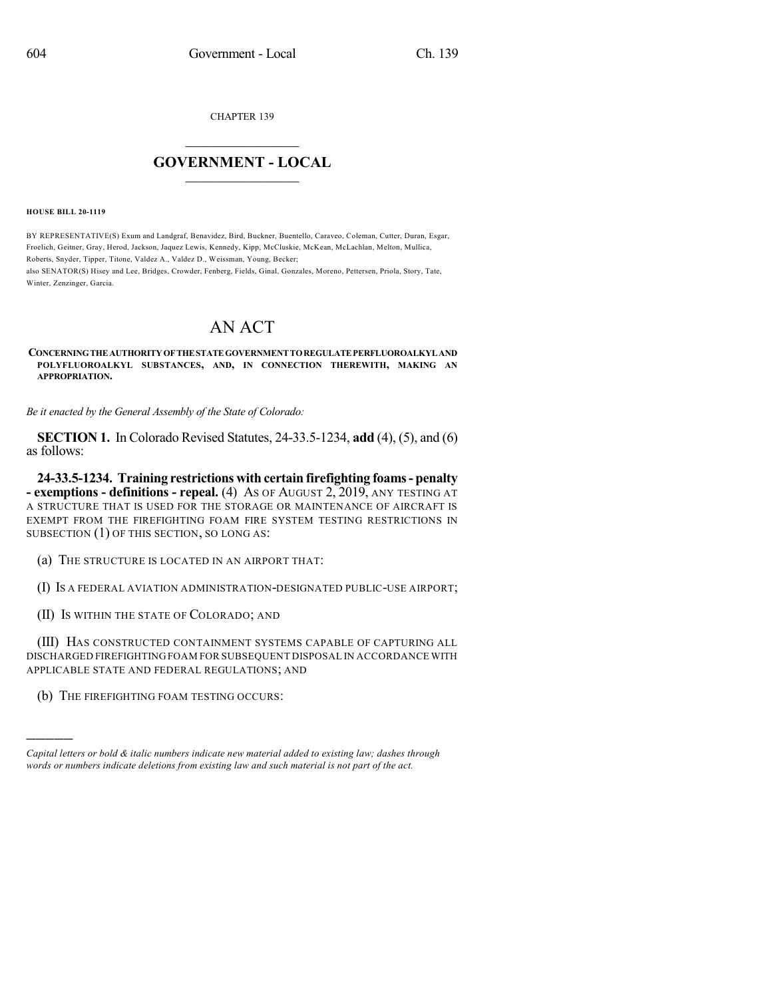CHAPTER 139

## $\mathcal{L}_\text{max}$  . The set of the set of the set of the set of the set of the set of the set of the set of the set of the set of the set of the set of the set of the set of the set of the set of the set of the set of the set **GOVERNMENT - LOCAL**  $\_$

**HOUSE BILL 20-1119**

BY REPRESENTATIVE(S) Exum and Landgraf, Benavidez, Bird, Buckner, Buentello, Caraveo, Coleman, Cutter, Duran, Esgar, Froelich, Geitner, Gray, Herod, Jackson, Jaquez Lewis, Kennedy, Kipp, McCluskie, McKean, McLachlan, Melton, Mullica, Roberts, Snyder, Tipper, Titone, Valdez A., Valdez D., Weissman, Young, Becker;

also SENATOR(S) Hisey and Lee, Bridges, Crowder, Fenberg, Fields, Ginal, Gonzales, Moreno, Pettersen, Priola, Story, Tate, Winter, Zenzinger, Garcia.

## AN ACT

**CONCERNINGTHEAUTHORITYOFTHESTATEGOVERNMENTTOREGULATEPERFLUOROALKYLAND POLYFLUOROALKYL SUBSTANCES, AND, IN CONNECTION THEREWITH, MAKING AN APPROPRIATION.**

*Be it enacted by the General Assembly of the State of Colorado:*

**SECTION 1.** In Colorado Revised Statutes, 24-33.5-1234, **add** (4), (5), and (6) as follows:

**24-33.5-1234. Training restrictions with certain firefighting foams- penalty - exemptions - definitions - repeal.** (4) AS OF AUGUST 2, 2019, ANY TESTING AT A STRUCTURE THAT IS USED FOR THE STORAGE OR MAINTENANCE OF AIRCRAFT IS EXEMPT FROM THE FIREFIGHTING FOAM FIRE SYSTEM TESTING RESTRICTIONS IN SUBSECTION (1) OF THIS SECTION, SO LONG AS:

(a) THE STRUCTURE IS LOCATED IN AN AIRPORT THAT:

(I) IS A FEDERAL AVIATION ADMINISTRATION-DESIGNATED PUBLIC-USE AIRPORT;

(II) IS WITHIN THE STATE OF COLORADO; AND

(III) HAS CONSTRUCTED CONTAINMENT SYSTEMS CAPABLE OF CAPTURING ALL DISCHARGED FIREFIGHTING FOAM FOR SUBSEQUENT DISPOSAL IN ACCORDANCE WITH APPLICABLE STATE AND FEDERAL REGULATIONS; AND

(b) THE FIREFIGHTING FOAM TESTING OCCURS:

)))))

*Capital letters or bold & italic numbers indicate new material added to existing law; dashes through words or numbers indicate deletions from existing law and such material is not part of the act.*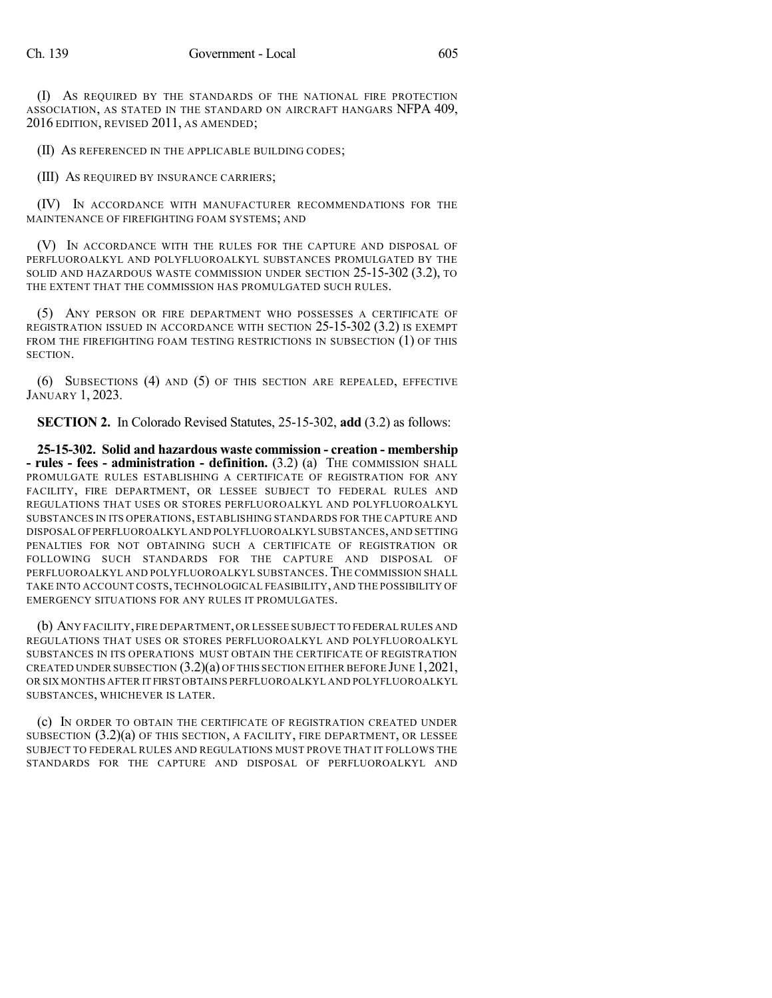(I) AS REQUIRED BY THE STANDARDS OF THE NATIONAL FIRE PROTECTION ASSOCIATION, AS STATED IN THE STANDARD ON AIRCRAFT HANGARS NFPA 409, 2016 EDITION, REVISED 2011, AS AMENDED;

(II) AS REFERENCED IN THE APPLICABLE BUILDING CODES;

(III) AS REQUIRED BY INSURANCE CARRIERS;

(IV) IN ACCORDANCE WITH MANUFACTURER RECOMMENDATIONS FOR THE MAINTENANCE OF FIREFIGHTING FOAM SYSTEMS; AND

(V) IN ACCORDANCE WITH THE RULES FOR THE CAPTURE AND DISPOSAL OF PERFLUOROALKYL AND POLYFLUOROALKYL SUBSTANCES PROMULGATED BY THE SOLID AND HAZARDOUS WASTE COMMISSION UNDER SECTION 25-15-302 (3.2), TO THE EXTENT THAT THE COMMISSION HAS PROMULGATED SUCH RULES.

(5) ANY PERSON OR FIRE DEPARTMENT WHO POSSESSES A CERTIFICATE OF REGISTRATION ISSUED IN ACCORDANCE WITH SECTION 25-15-302 (3.2) IS EXEMPT FROM THE FIREFIGHTING FOAM TESTING RESTRICTIONS IN SUBSECTION (1) OF THIS SECTION.

(6) SUBSECTIONS (4) AND (5) OF THIS SECTION ARE REPEALED, EFFECTIVE JANUARY 1, 2023.

**SECTION 2.** In Colorado Revised Statutes, 25-15-302, **add** (3.2) as follows:

**25-15-302. Solid and hazardous waste commission - creation - membership - rules - fees - administration - definition.** (3.2) (a) THE COMMISSION SHALL PROMULGATE RULES ESTABLISHING A CERTIFICATE OF REGISTRATION FOR ANY FACILITY, FIRE DEPARTMENT, OR LESSEE SUBJECT TO FEDERAL RULES AND REGULATIONS THAT USES OR STORES PERFLUOROALKYL AND POLYFLUOROALKYL SUBSTANCES IN ITS OPERATIONS, ESTABLISHING STANDARDS FOR THE CAPTURE AND DISPOSAL OFPERFLUOROALKYL AND POLYFLUOROALKYL SUBSTANCES,AND SETTING PENALTIES FOR NOT OBTAINING SUCH A CERTIFICATE OF REGISTRATION OR FOLLOWING SUCH STANDARDS FOR THE CAPTURE AND DISPOSAL OF PERFLUOROALKYL AND POLYFLUOROALKYL SUBSTANCES. THE COMMISSION SHALL TAKE INTO ACCOUNT COSTS, TECHNOLOGICAL FEASIBILITY, AND THE POSSIBILITY OF EMERGENCY SITUATIONS FOR ANY RULES IT PROMULGATES.

(b) ANY FACILITY,FIRE DEPARTMENT,OR LESSEE SUBJECT TO FEDERAL RULES AND REGULATIONS THAT USES OR STORES PERFLUOROALKYL AND POLYFLUOROALKYL SUBSTANCES IN ITS OPERATIONS MUST OBTAIN THE CERTIFICATE OF REGISTRATION CREATED UNDER SUBSECTION  $(3.2)(a)$  of this section either before June 1, 2021, OR SIX MONTHS AFTER IT FIRST OBTAINS PERFLUOROALKYL AND POLYFLUOROALKYL SUBSTANCES, WHICHEVER IS LATER.

(c) IN ORDER TO OBTAIN THE CERTIFICATE OF REGISTRATION CREATED UNDER SUBSECTION (3.2)(a) OF THIS SECTION, A FACILITY, FIRE DEPARTMENT, OR LESSEE SUBJECT TO FEDERAL RULES AND REGULATIONS MUST PROVE THAT IT FOLLOWS THE STANDARDS FOR THE CAPTURE AND DISPOSAL OF PERFLUOROALKYL AND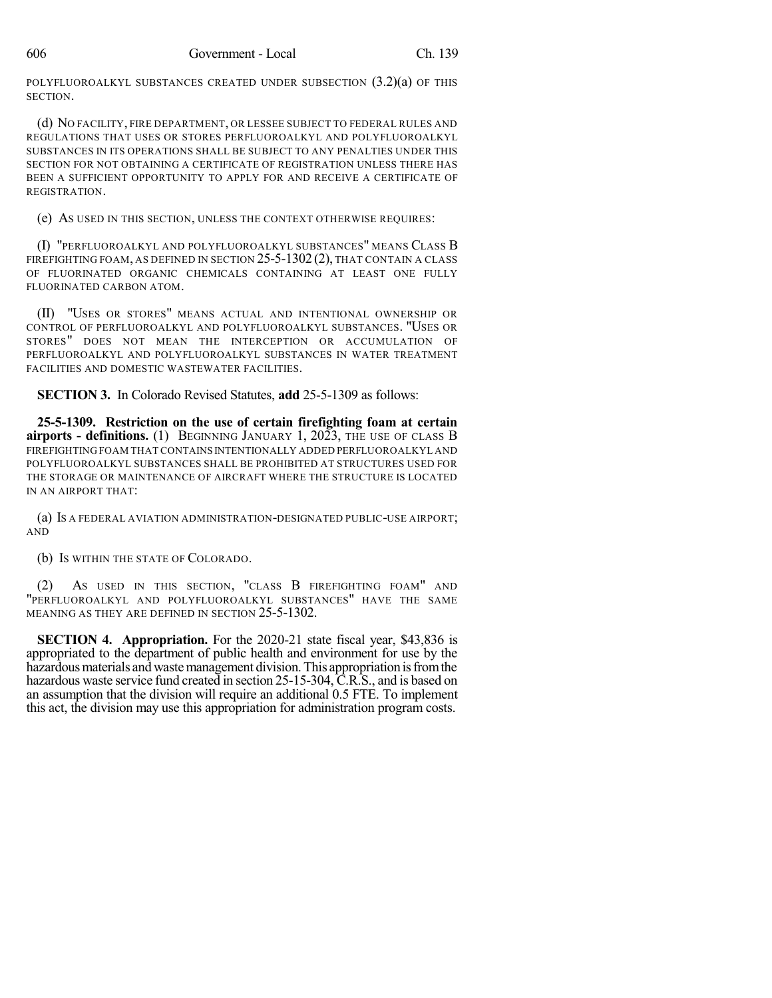POLYFLUOROALKYL SUBSTANCES CREATED UNDER SUBSECTION  $(3.2)(a)$  OF THIS SECTION.

(d) NO FACILITY, FIRE DEPARTMENT, OR LESSEE SUBJECT TO FEDERAL RULES AND REGULATIONS THAT USES OR STORES PERFLUOROALKYL AND POLYFLUOROALKYL SUBSTANCES IN ITS OPERATIONS SHALL BE SUBJECT TO ANY PENALTIES UNDER THIS SECTION FOR NOT OBTAINING A CERTIFICATE OF REGISTRATION UNLESS THERE HAS BEEN A SUFFICIENT OPPORTUNITY TO APPLY FOR AND RECEIVE A CERTIFICATE OF REGISTRATION.

(e) AS USED IN THIS SECTION, UNLESS THE CONTEXT OTHERWISE REQUIRES:

(I) "PERFLUOROALKYL AND POLYFLUOROALKYL SUBSTANCES" MEANS CLASS B FIREFIGHTING FOAM, AS DEFINED IN SECTION 25-5-1302 (2), THAT CONTAIN A CLASS OF FLUORINATED ORGANIC CHEMICALS CONTAINING AT LEAST ONE FULLY FLUORINATED CARBON ATOM.

(II) "USES OR STORES" MEANS ACTUAL AND INTENTIONAL OWNERSHIP OR CONTROL OF PERFLUOROALKYL AND POLYFLUOROALKYL SUBSTANCES. "USES OR STORES" DOES NOT MEAN THE INTERCEPTION OR ACCUMULATION OF PERFLUOROALKYL AND POLYFLUOROALKYL SUBSTANCES IN WATER TREATMENT FACILITIES AND DOMESTIC WASTEWATER FACILITIES.

**SECTION 3.** In Colorado Revised Statutes, **add** 25-5-1309 as follows:

**25-5-1309. Restriction on the use of certain firefighting foam at certain airports - definitions.** (1) BEGINNING JANUARY 1, 2023, THE USE OF CLASS B FIREFIGHTING FOAM THAT CONTAINS INTENTIONALLY ADDED PERFLUOROALKYL AND POLYFLUOROALKYL SUBSTANCES SHALL BE PROHIBITED AT STRUCTURES USED FOR THE STORAGE OR MAINTENANCE OF AIRCRAFT WHERE THE STRUCTURE IS LOCATED IN AN AIRPORT THAT:

(a) IS A FEDERAL AVIATION ADMINISTRATION-DESIGNATED PUBLIC-USE AIRPORT; AND

(b) IS WITHIN THE STATE OF COLORADO.

(2) AS USED IN THIS SECTION, "CLASS B FIREFIGHTING FOAM" AND "PERFLUOROALKYL AND POLYFLUOROALKYL SUBSTANCES" HAVE THE SAME MEANING AS THEY ARE DEFINED IN SECTION 25-5-1302.

**SECTION 4. Appropriation.** For the 2020-21 state fiscal year, \$43,836 is appropriated to the department of public health and environment for use by the hazardous materials and waste management division. This appropriation is from the hazardous waste service fund created in section 25-15-304, C.R.S., and is based on an assumption that the division will require an additional 0.5 FTE. To implement this act, the division may use this appropriation for administration program costs.